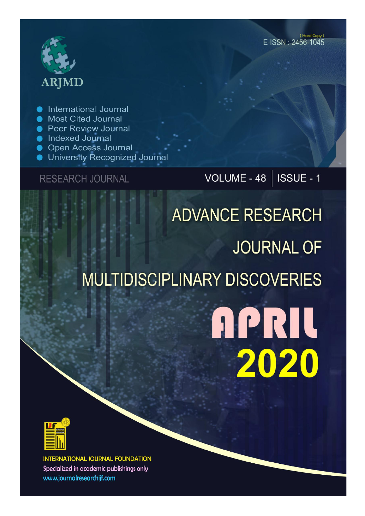# **ARJMD**

**International Journal** 

- **Most Cited Journal**
- **Peer Review Journal**
- lndexed Journal
- **Open Access Journal**
- University Recognized Journal

### **RESEARCH JOURNAL**

## VOLUME - 48 | ISSUE - 1

## **ADVANCE RESEARCH JOURNAL OF MULTIDISCIPLINARY DISCOVERIES**

## **APRIL** 2020



**INTERNATIONAL JOURNAL FOUNDATION** Specialized in academic publishings only www.journalresearchijf.com

(Hard Copy) E-ISSN: 2456-1045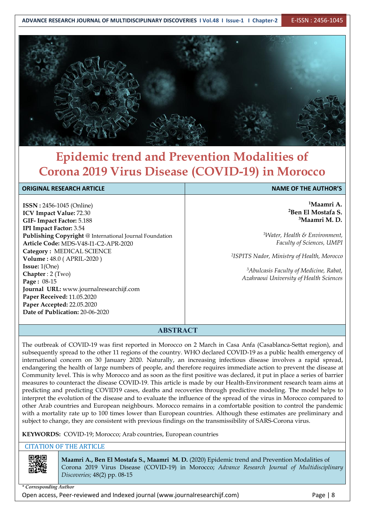

## **Epidemic trend and Prevention Modalities of Corona 2019 Virus Disease (COVID-19) in Morocco**

#### **ORIGINAL RESEARCH ARTICLE NAME OF THE AUTHOR'S**

**ISSN :** 2456-1045 (Online) **ICV Impact Value:** 72.30 **GIF- Impact Factor:** 5.188 **IPI Impact Factor:** 3.54 **Publishing Copyright** @ International Journal Foundation **Article Code:** MDS-V48-I1-C2-APR-2020 **Category :** MEDICAL SCIENCE **Volume :** 48.0 (APRIL-2020 ) **Issue:** 1(One) **Chapter** : 2 (Two) **Page :** 08-15 **Journal URL:** www.journalresearchijf.com **Paper Received:** 11.05.2020 **Paper Accepted:** 22.05.2020 **Date of Publication:** 20-06-2020

**<sup>1</sup>Maamri A. <sup>2</sup>Ben El Mostafa S. <sup>3</sup>Maamri M. D.**

*<sup>1</sup>Water, Health & Environment, Faculty of Sciences, UMPI*

*<sup>2</sup>ISPITS Nador, Ministry of Health, Morocco*

*<sup>3</sup>Abulcasis Faculty of Medicine, Rabat, Azahraoui University of Health Sciences*

#### **ABSTRACT**

The outbreak of COVID-19 was first reported in Morocco on 2 March in Casa Anfa (Casablanca-Settat region), and subsequently spread to the other 11 regions of the country. WHO declared COVID-19 as a public health emergency of international concern on 30 January 2020. Naturally, an increasing infectious disease involves a rapid spread, endangering the health of large numbers of people, and therefore requires immediate action to prevent the disease at Community level. This is why Morocco and as soon as the first positive was declared, it put in place a series of barrier measures to counteract the disease COVID-19. This article is made by our Health-Environment research team aims at predicting and predicting COVID19 cases, deaths and recoveries through predictive modeling. The model helps to interpret the evolution of the disease and to evaluate the influence of the spread of the virus in Morocco compared to other Arab countries and European neighbours. Morocco remains in a comfortable position to control the pandemic with a mortality rate up to 100 times lower than European countries. Although these estimates are preliminary and subject to change, they are consistent with previous findings on the transmissibility of SARS-Corona virus.

#### **KEYWORDS:** COVID-19; Morocco; Arab countries, European countries

#### CITATION OF THE ARTICLE



**Maamri A.,Ben El Mostafa S., Maamri M. D.** (2020) Epidemic trend and Prevention Modalities of Corona 2019 Virus Disease (COVID-19) in Morocco; *Advance Research Journal of Multidisciplinary Discoveries;* 48(2) pp. 08-15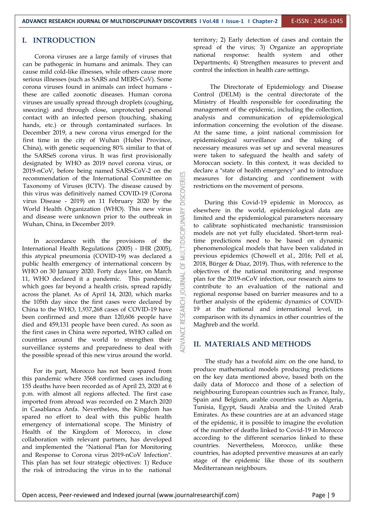#### **I. INTRODUCTION**

Corona viruses are a large family of viruses that can be pathogenic in humans and animals. They can cause mild cold-like illnesses, while others cause more serious illnesses (such as SARS and MERS-CoV). Some corona viruses found in animals can infect humans these are called zoonotic diseases. Human corona viruses are usually spread through droplets (coughing, sneezing) and through close, unprotected personal contact with an infected person (touching, shaking hands, etc.) or through contaminated surfaces. In December 2019, a new corona virus emerged for the first time in the city of Wuhan (Hubei Province, China), with genetic sequencing 80% similar to that of the SARSeS corona virus. It was first provisionally designated by WHO as 2019 novel corona virus, or 2019-nCoV, before being named SARS-CoV-2 on the recommendation of the International Committee on Taxonomy of Viruses (ICTV). The disease caused by this virus was definitively named COVID-19 (Corona virus Disease - 2019) on 11 February 2020 by the Taxonomy of Viruses (ICTV). The disease caused by this virus was definitively named COVID-19 (Corona virus Disease - 2019) on 11 February 2020 by the and disease were unknown prior to the outbreak in Wuhan, China, in December 2019.

World Health Organization (WHO). This new virus<br>and disease were unknown prior to the outbreak in<br>Wuhan, China, in December 2019.<br>In accordance with the provisions of the<br>International Health Regulations (2005) - IHR (200 In accordance with the provisions of the International Health Regulations (2005) - IHR (2005), this atypical pneumonia (COVID-19) was declared a public health emergency of international concern by WHO on 30 January 2020. Forty days later, on March<br>11, WHO declared it a pandemic. This pandemic,<br>which goes far beyond a health crisis, spread rapidly 11, WHO declared it a pandemic. This pandemic, which goes far beyond a health crisis, spread rapidly across the planet. As of April 14, 2020, which marks<br>the 105th day since the first cases were declared by<br>China to the WHO, 1,937,268 cases of COVID-19 have<br>been confirmed and more than 120,606 people have the 105th day since the first cases were declared by China to the WHO, 1,937,268 cases of COVID-19 have been confirmed and more than 120,606 people have died and 459,131 people have been cured. As soon as the first cases in China were reported, WHO called on countries around the world to strengthen their surveillance systems and preparedness to deal with the possible spread of this new virus around the world.

For its part, Morocco has not been spared from this pandemic where 3568 confirmed cases including 155 deaths have been recorded as of April 23, 2020 at 6 p.m. with almost all regions affected. The first case imported from abroad was recorded on 2 March 2020 in Casablanca Anfa. Nevertheless, the Kingdom has spared no effort to deal with this public health emergency of international scope. The Ministry of Health of the Kingdom of Morocco, in close collaboration with relevant partners, has developed and implemented the "National Plan for Monitoring and Response to Corona virus 2019-nCoV Infection". This plan has set four strategic objectives: 1) Reduce the risk of introducing the virus in to the national

territory; 2) Early detection of cases and contain the spread of the virus; 3) Organize an appropriate national response: health system and other Departments; 4) Strengthen measures to prevent and control the infection in health care settings.

The Directorate of Epidemiology and Disease Control (DELM) is the central directorate of the Ministry of Health responsible for coordinating the management of the epidemic, including the collection, analysis and communication of epidemiological information concerning the evolution of the disease. At the same time, a joint national commission for epidemiological surveillance and the taking of necessary measures was set up and several measures were taken to safeguard the health and safety of Moroccan society. In this context, it was decided to declare a "state of health emergency" and to introduce measures for distancing and confinement with restrictions on the movement of persons.

During this Covid-19 epidemic in Morocco, as elsewhere in the world, epidemiological data are limited and the epidemiological parameters necessary to calibrate sophisticated mechanistic transmission models are not yet fully elucidated. Short-term realtime predictions need to be based on dynamic phenomenological models that have been validated in previous epidemics (Chowell et al., 2016; Pell et al, 2018, Bürger & Díıaz, 2019). Thus, with reference to the objectives of the national monitoring and response plan for the 2019-nCoV infection, our research aims to contribute to an evaluation of the national and regional response based on barrier measures and to a further analysis of the epidemic dynamics of COVID- 19 at the national and international level, in comparison with its dynamics in other countries of the Maghreb and the world.

#### **II. MATERIALS AND METHODS**

The study has a twofold aim: on the one hand, to produce mathematical models producing predictions on the key data mentioned above, based both on the daily data of Morocco and those of a selection of neighbouring European countries such as France, Italy, Spain and Belgium, arable countries such as Algeria, Tunisia, Egypt, Saudi Arabia and the United Arab Emirates. As these countries are at an advanced stage of the epidemic, it is possible to imagine the evolution of the number of deaths linked to Covid-19 in Morocco according to the different scenarios linked to these countries. Nevertheless, Morocco, unlike these countries, has adopted preventive measures at an early stage of the epidemic like those of its southern Mediterranean neighbours.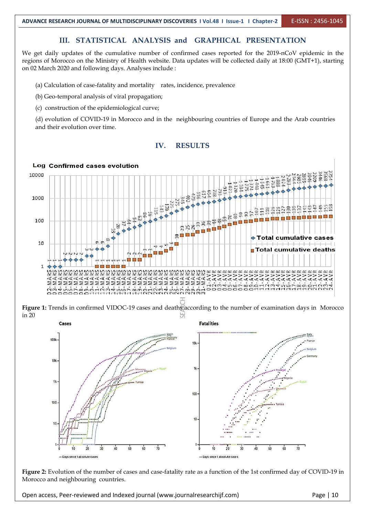#### **III. STATISTICAL ANALYSIS and GRAPHICAL PRESENTATION**

We get daily updates of the cumulative number of confirmed cases reported for the 2019-nCoV epidemic in the regions of Morocco on the Ministry of Health website. Data updates will be collected daily at 18:00 (GMT+1), starting on 02 March 2020 and following days. Analyses include :

(a) Calculation of case-fatality and mortality rates, incidence, prevalence

(b) Geo-temporal analysis of viral propagation;

(c) construction of the epidemiological curve;

(d) evolution of COVID-19 in Morocco and in the neighbouring countries of Europe and the Arab countries and their evolution over time.





**Figure 1:** Trends in confirmed VIDOC-19 cases and deaths according to the number ofexamination days in Morocco in 20



Figure 2: Evolution of the number of cases and case-fatality rate as a function of the 1st confirmed day of COVID-19 in Morocco and neighbouring countries.

Open access, Peer-reviewed and Indexed journal (www.journalresearchijf.com) Page | 10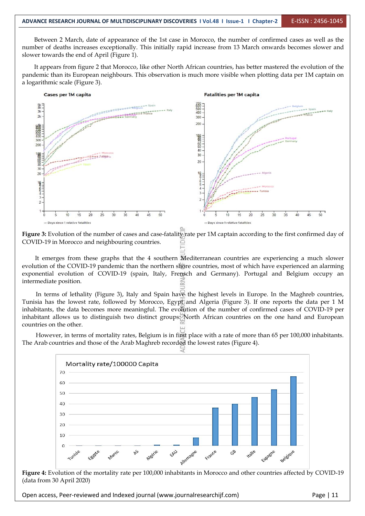Between 2 March, date of appearance of the 1st case in Morocco, the number of confirmed cases as well as the number of deaths increases exceptionally. This initially rapid increase from 13 March onwards becomes slower and slower towards the end of April (Figure 1).

It appears from figure 2 that Morocco, like other North African countries, has better mastered the evolution of the pandemic than its European neighbours. This observation is much more visible when plotting data per 1M captain on a logarithmic scale (Figure 3).



**Figure 3:** Evolution of the number of cases and case-fatality rate per 1M captain according to the first confirmed day of COVID-19 in Morocco and neighbouring countries.

It emerges from these graphs that the 4 southern Mediterranean countries are experiencing a much slower evolution of the COVID-19 pandemic than the northern shore countries, most of which have experienced an alarming exponential evolution of COVID-19 (spain, Italy, Frensch and Germany). Portugal and Belgium occupy an intermediate position.

In terms of lethality (Figure 3), Italy and Spain have the highest levels in Europe. In the Maghreb countries, Tunisia has the lowest rate, followed by Morocco, Egypt and Algeria (Figure 3). If one reports the data per 1 M inhabitants, the data becomes more meaningful. The evolution of the number of confirmed cases of COVID-19 per inhabitant allows us to distinguish two distinct groups: North African countries on the one hand and European countries on the other.

However, in terms of mortality rates, Belgium is in first place with a rate of more than 65 per 100,000 inhabitants. The Arab countries and those of the Arab Maghreb recorded the lowest rates (Figure 4).



**Figure 4:** Evolution of the mortality rate per 100,000 inhabitants in Morocco and other countries affected by COVID-19 (data from 30 April 2020)

Open access, Peer-reviewed and Indexed journal (www.journalresearchijf.com) Page |11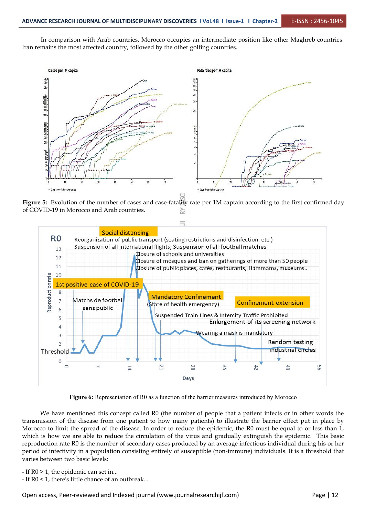In comparison with Arab countries, Morocco occupies an intermediate position like other Maghreb countries. Iran remains the most affected country, followed by the other golfing countries.



**Figure** 5: Evolution of the number of cases and case-fatality rate per 1M captain according to the first confirmed day of COVID-19 in Morocco and Arab countries.



**Figure 6:** Representation of R0 as a function of the barrier measures introduced by Morocco

We have mentioned this concept called R0 (the number of people that a patient infects or in other words the transmission of the disease from one patient to how many patients) to illustrate the barrier effect put in place by Morocco to limit the spread of the disease. In order to reduce the epidemic, the R0 must be equal to or less than 1, which is how we are able to reduce the circulation of the virus and gradually extinguish the epidemic. This basic reproduction rate R0 is the number of secondary cases produced by an average infectious individual during his or her period of infectivity in a population consisting entirely of susceptible (non-immune) individuals. It is a threshold that varies between two basic levels:

- If R0 > 1, the epidemic can set in...

- If R0 < 1, there's little chance of an outbreak...

Open access, Peer-reviewed and Indexed journal (www.journalresearchijf.com) Page |12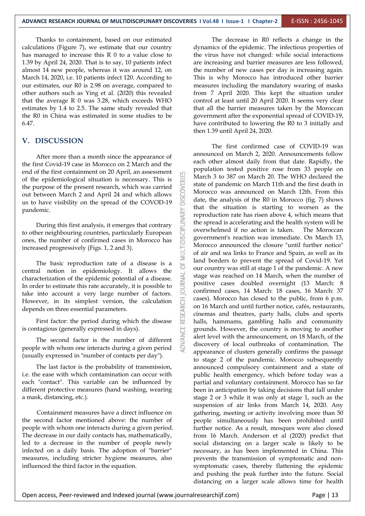Thanks to containment, based on our estimated calculations (Figure 7), we estimate that our country has managed to increase this  $R$  0 to a value close to 1.39 by April 24, 2020. That is to say, 10 patients infect almost 14 new people, whereas it was around 12, on March 14, 2020, i.e. 10 patients infect 120. According to our estimates, our R0 is 2.98 on average, compared to other authors such as Ying et al.(2020) this revealed that the average  $R$  0 was 3.28, which exceeds WHO estimates by 1.4 to 2.5. The same study revealed that the R0 in China was estimated in some studies to be 6.47.

#### **V. DISCUSSION**

After more than a month since the appearance of the first Covid-19 case in Morocco on 2 March and the end of the first containment on 20 April, an assessment of the epidemiological situation is necessary. This is the purpose of the present research, which was carried<br>out between March 2 and April 24 and which allows<br>us to have visibility on the spread of the COVOD-19 out between March 2 and April 24 and which allows us to have visibility on the spread of the COVOD-19 pandemic.

lemic.<br>
During this first analysis, it emerges that contrary<br>
her neighbouring countries, particularly European<br>
the number of confirmed cases in Morocco has to other neighbouring countries, particularly European ones, the number of confirmed cases in Morocco has increased progressively (Figs. 1, 2 and 3).

The basic reproduction rate of a disease is a central notion in epidemiology. It allows the characterization of the epidemic potential of a disease.<br>In order to estimate this rate accurately it is possible to characterization of the epidemic potential of a disease. In order to estimate this rate accurately, it is possible to  $\frac{15}{2}$ take into account a very large number of factors. However, in its simplest version, the calculation depends on three essential parameters.

First factor: the period during which the disease is contagious (generally expressed in days).

The second factor is the number of different people with whom one interacts during a given period (usually expressed in "number of contacts per day").

The last factor is the probability of transmission, i.e. the ease with which contamination can occur with each "contact". This variable can be influenced by different protective measures (hand washing, wearing a mask, distancing, etc.).

Containment measures have a direct influence on the second factor mentioned above: the number of people with whom one interacts during a given period. The decrease in our daily contacts has, mathematically, led to a decrease in the number of people newly infected on a daily basis. The adoption of "barrier" measures, including stricter hygiene measures, also influenced the third factor in the equation.

The decrease in R0 reflects a change in the dynamics of the epidemic. The infectious properties of the virus have not changed: while social interactions are increasing and barrier measures are less followed, the number of new cases per day is increasing again. This is why Morocco has introduced other barrier measures including the mandatory wearing of masks from 7 April 2020. This kept the situation under control at least until 20 April 2020. It seems very clear that all the barrier measures taken by the Moroccan government after the exponential spread of COVID-19, have contributed to lowering the R0 to 3 initially and then 1.39 until April 24, 2020.

The first confirmed case of COVID-19 was announced on March 2, 2020. Announcements follow each other almost daily from that date. Rapidly, the population tested positive rose from 33 people on March 3 to 387 on March 20. The WHO declared the state of pandemic on March 11th and the first death in Morocco was announced on March 12th. From this date, the analysis of the R0 in Morocco (fig. 7) shows that the situation is starting to worsen as the reproduction rate has risen above 4, which means that the spread is accelerating and the health system will be overwhelmed if no action is taken. The Moroccan government's reaction was immediate. On March 13, Morocco announced the closure "until further notice" of air and sea links to France and Spain, as well as its land borders to prevent the spread of Covid-19. Yet our country was still at stage 1 of the pandemic. A new stage was reached on 14 March, when the number of positive cases doubled overnight (13 March: 8 confirmed cases, 14 March: 18 cases, 16 March: 37 cases). Morocco has closed to the public, from 6 p.m. on 16 March and until further notice, cafés, restaurants, cinemas and theatres, party halls, clubs and sports halls, hammams, gambling halls and community grounds. However, the country is moving to another alert level with the announcement, on 18 March, of the discovery of local outbreaks of contamination. The appearance of clusters generally confirms the passage to stage 2 of the pandemic. Morocco subsequently announced compulsory containment and a state of public health emergency, which before today was a partial and voluntary containment. Morocco has so far been in anticipation by taking decisions that fall under stage 2 or 3 while it was only at stage 1, such as the suspension of air links from March 14, 2020. Any gathering, meeting or activity involving more than 50 people simultaneously has been prohibited until further notice. As a result, mosques were also closed from 16 March. Anderson et al (2020) predict that social distancing on a larger scale is likely to be necessary, as has been implemented in China. This prevents the transmission of symptomatic and non symptomatic cases, thereby flattening the epidemic and pushing the peak further into the future. Social distancing on a larger scale allows time for health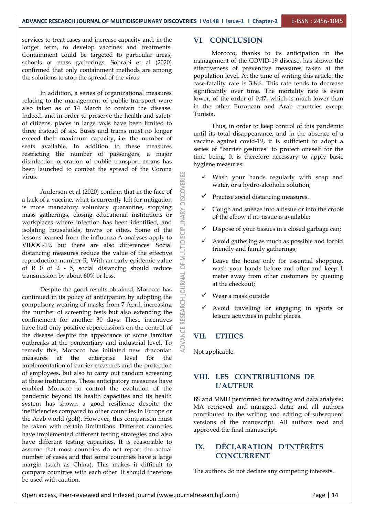services to treat cases and increase capacity and, in the longer term, to develop vaccines and treatments. Containment could be targeted to particular areas, schools or mass gatherings. Sohrabi et al (2020) confirmed that only containment methods are among the solutions to stop the spread of the virus.

In addition, a series of organizational measures relating to the management of public transport were also taken as of 14 March to contain the disease. In the  $\frac{1}{2}$ Indeed, and in order to preserve the health and safety of citizens, places in large taxis have been limited to three instead of six. Buses and trams must no longer exceed their maximum capacity, i.e. the number of seats available. In addition to these measures restricting the number of passengers, a major disinfection operation of public transport means has been launched to combat the spread of the Corona virus.

Anderson et al (2020) confirm that in the face of of a vaccine, what is currently left for mitigation a lack of a vaccine, what is currently left for mitigation is more mandatory voluntary quarantine, stopping<br>mass gatherings, closing educational institutions or<br>workplaces where infection has been identified, and<br>isolating households, towns or cities. Some of the<br>lessons learned mass gatherings, closing educational institutions or workplaces where infection has been identified, and isolating households, towns or cities. Some of the lessons learned from the influenza A analyses apply to VIDOC-19, but there are also differences. Social distancing measures reduce the value of the effective reproduction number R. With an early epidemic value<br>of R 0 of 2 - 5, social distancing should reduce of R 0 of 2 - 5, social distancing should reduce<br>transmission by about 60% or less.<br>Despite the good results obtained, Morocco has transmission by about 60% or less.

Despite the good results obtained, Morocco has continued in its policy of anticipation by adopting the compulsory wearing of masks from 7 April, increasing the number of screening tests but also extending the confinement for another 30 days. These incentives compulsory wearing of masks from 7 April, increasing the number of screening tests but also extending the confinement for another 30 days. These incentives have had only positive repercussions on the control of the disease despite the appearance of some familiar  $\geq$  VII. outbreaks at the penitentiary and industrial level. To remedy this, Morocco has initiated new draconian measures at the enterprise level for the implementation of barrier measures and the protection of employees, but also to carry out random screening at these institutions. These anticipatory measures have enabled Morocco to control the evolution of the pandemic beyond its health capacities and its health system has shown a good resilience despite the inefficiencies compared to other countries in Europe or the Arab world (golf). However, this comparison must be taken with certain limitations. Different countries have implemented different testing strategies and also have different testing capacities. It is reasonable to  $\mathbf{X}$ assume that most countries do not report the actual number of cases and that some countries have a large margin (such as China). This makes it difficult to compare countries with each other. It should therefore be used with caution.

#### **VI. CONCLUSION**

Morocco, thanks to its anticipation in the management of the COVID-19 disease, has shown the effectiveness of preventive measures taken at the population level. At the time of writing this article, the case-fatality rate is 3.8%. This rate tends to decrease significantly over time. The mortality rate is even lower, of the order of 0.47, which is much lower than in the other European and Arab countries except

Thus, in order to keep control of this pandemic until its total disappearance, and in the absence of a vaccine against covid-19, it is sufficient to adopt a series of "barrier gestures" to protect oneself for the time being. It is therefore necessary to apply basic hygiene measures:

- Wash your hands regularly with soap and water, or a hydro-alcoholic solution;
- Practise social distancing measures.
- Cough and sneeze into a tissue or into the crook of the elbow if no tissue is available;
- Dispose of your tissues in a closed garbage can;
- $\checkmark$  Avoid gathering as much as possible and forbid friendly and family gatherings;
- Leave the house only for essential shopping, wash your hands before and after and keep 1 meter away from other customers by queuing at the checkout;
- $\checkmark$  Wear a mask outside
- Avoid travelling or engaging in sports or leisure activities in public places.

#### **VII. ETHICS**

Not applicable.

#### **VIII. LES CONTRIBUTIONS DE L'AUTEUR**

BS and MMD performed forecasting and data analysis; MA retrieved and managed data; and all authors contributed to the writing and editing of subsequent versions of the manuscript. All authors read and approved the final manuscript.

#### **IX. DÉCLARATION D'INTÉRÊTS CONCURRENT**

The authors do not declare any competing interests.